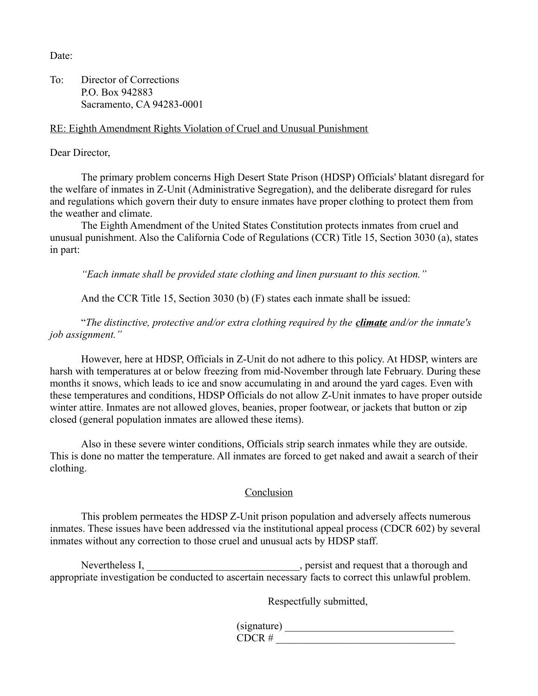Date<sup>-</sup>

To: Director of Corrections P.O. Box 942883 Sacramento, CA 94283-0001

## RE: Eighth Amendment Rights Violation of Cruel and Unusual Punishment

Dear Director,

The primary problem concerns High Desert State Prison (HDSP) Officials' blatant disregard for the welfare of inmates in Z-Unit (Administrative Segregation), and the deliberate disregard for rules and regulations which govern their duty to ensure inmates have proper clothing to protect them from the weather and climate.

The Eighth Amendment of the United States Constitution protects inmates from cruel and unusual punishment. Also the California Code of Regulations (CCR) Title 15, Section 3030 (a), states in part:

*"Each inmate shall be provided state clothing and linen pursuant to this section."*

And the CCR Title 15, Section 3030 (b) (F) states each inmate shall be issued:

"*The distinctive, protective and/or extra clothing required by the climate and/or the inmate's job assignment."*

However, here at HDSP, Officials in Z-Unit do not adhere to this policy. At HDSP, winters are harsh with temperatures at or below freezing from mid-November through late February. During these months it snows, which leads to ice and snow accumulating in and around the yard cages. Even with these temperatures and conditions, HDSP Officials do not allow Z-Unit inmates to have proper outside winter attire. Inmates are not allowed gloves, beanies, proper footwear, or jackets that button or zip closed (general population inmates are allowed these items).

Also in these severe winter conditions, Officials strip search inmates while they are outside. This is done no matter the temperature. All inmates are forced to get naked and await a search of their clothing.

## Conclusion

This problem permeates the HDSP Z-Unit prison population and adversely affects numerous inmates. These issues have been addressed via the institutional appeal process (CDCR 602) by several inmates without any correction to those cruel and unusual acts by HDSP staff.

Nevertheless I, https://www.factbook.com/hereinformally/spersist and request that a thorough and  $\frac{1}{2}$ appropriate investigation be conducted to ascertain necessary facts to correct this unlawful problem.

Respectfully submitted,

(signature) \_\_\_\_\_\_\_\_\_\_\_\_\_\_\_\_\_\_\_\_\_\_\_\_\_\_\_\_\_\_\_\_  $\text{CDCR}$  #  $\overline{\phantom{a}}$